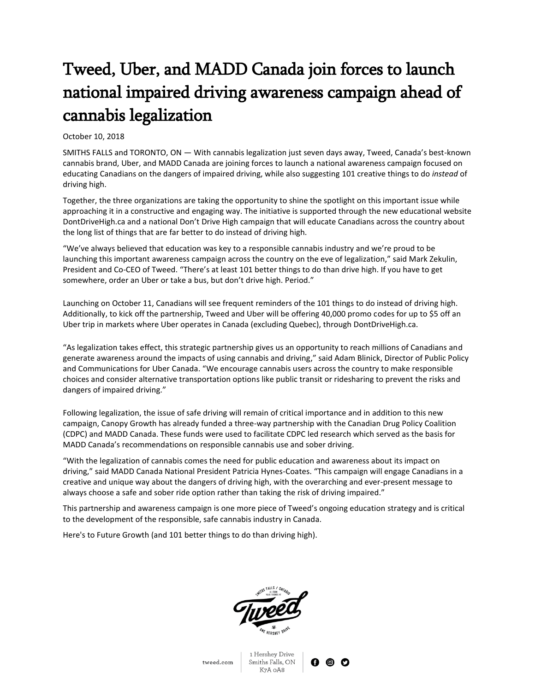# Tweed, Uber, and MADD Canada join forces to launch national impaired driving awareness campaign ahead of cannabis legalization

## October 10, 2018

SMITHS FALLS and TORONTO, ON — With cannabis legalization just seven days away, Tweed, Canada's best-known cannabis brand, Uber, and MADD Canada are joining forces to launch a national awareness campaign focused on educating Canadians on the dangers of impaired driving, while also suggesting 101 creative things to do *instead* of driving high.

Together, the three organizations are taking the opportunity to shine the spotlight on this important issue while approaching it in a constructive and engaging way. The initiative is supported through the new educational website DontDriveHigh.ca and a national Don't Drive High campaign that will educate Canadians across the country about the long list of things that are far better to do instead of driving high.

"We've always believed that education was key to a responsible cannabis industry and we're proud to be launching this important awareness campaign across the country on the eve of legalization," said Mark Zekulin, President and Co-CEO of Tweed. "There's at least 101 better things to do than drive high. If you have to get somewhere, order an Uber or take a bus, but don't drive high. Period."

Launching on October 11, Canadians will see frequent reminders of the 101 things to do instead of driving high. Additionally, to kick off the partnership, Tweed and Uber will be offering 40,000 promo codes for up to \$5 off an Uber trip in markets where Uber operates in Canada (excluding Quebec), through DontDriveHigh.ca.

"As legalization takes effect, this strategic partnership gives us an opportunity to reach millions of Canadians and generate awareness around the impacts of using cannabis and driving," said Adam Blinick, Director of Public Policy and Communications for Uber Canada. "We encourage cannabis users across the country to make responsible choices and consider alternative transportation options like public transit or ridesharing to prevent the risks and dangers of impaired driving."

Following legalization, the issue of safe driving will remain of critical importance and in addition to this new campaign, Canopy Growth has already funded a three-way partnership with the Canadian Drug Policy Coalition (CDPC) and MADD Canada. These funds were used to facilitate CDPC led research which served as the basis for MADD Canada's recommendations on responsible cannabis use and sober driving.

"With the legalization of cannabis comes the need for public education and awareness about its impact on driving," said MADD Canada National President Patricia Hynes-Coates. "This campaign will engage Canadians in a creative and unique way about the dangers of driving high, with the overarching and ever-present message to always choose a safe and sober ride option rather than taking the risk of driving impaired."

This partnership and awareness campaign is one more piece of Tweed's ongoing education strategy and is critical to the development of the responsible, safe cannabis industry in Canada.

Here's to Future Growth (and 101 better things to do than driving high).